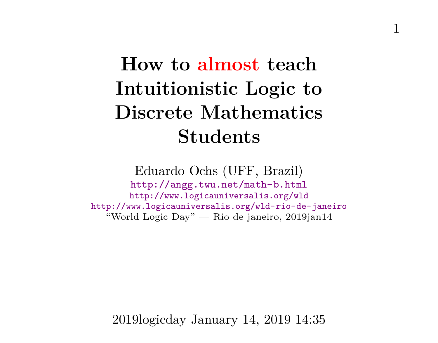# **How to almost teach Intuitionistic Logic to Discrete Mathematics Students**

Eduardo Ochs (UFF, Brazil) <http://angg.twu.net/math-b.html> <http://www.logicauniversalis.org/wld> <http://www.logicauniversalis.org/wld-rio-de-janeiro> "World Logic Day" — Rio de janeiro, 2019jan14

2019logicday January 14, 2019 14:35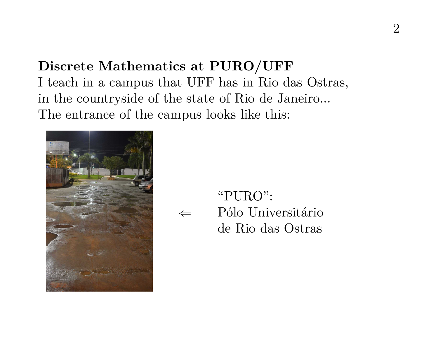# **Discrete Mathematics at PURO/UFF**

I teach in a campus that UFF has in Rio das Ostras, in the countryside of the state of Rio de Janeiro... The entrance of the campus looks like this:



⇐ "PURO": Pólo Universitário de Rio das Ostras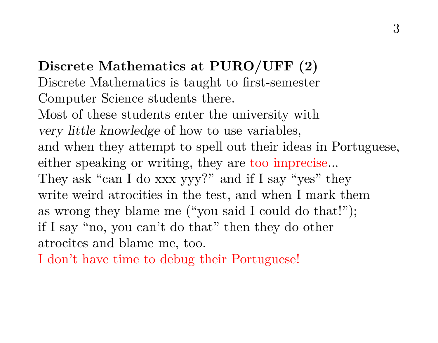**Discrete Mathematics at PURO/UFF (2)** Discrete Mathematics is taught to first-semester Computer Science students there. Most of these students enter the university with very little knowledge of how to use variables, and when they attempt to spell out their ideas in Portuguese, either speaking or writing, they are too imprecise... They ask "can I do xxx yyy?" and if I say "yes" they write weird atrocities in the test, and when I mark them as wrong they blame me ("you said I could do that!"); if I say "no, you can't do that" then they do other atrocites and blame me, too.

I don't have time to debug their Portuguese!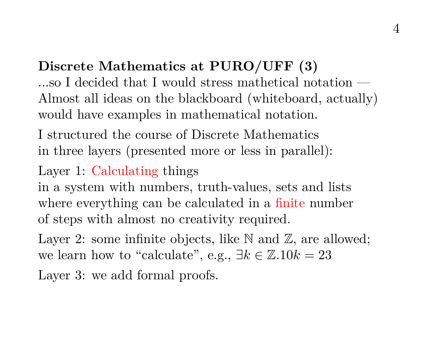# **Discrete Mathematics at PURO/UFF (3)**

...so I decided that I would stress mathetical notation — Almost all ideas on the blackboard (whiteboard, actually) would have examples in mathematical notation.

I structured the course of Discrete Mathematics in three layers (presented more or less in parallel):

Layer 1: Calculating things

in a system with numbers, truth-values, sets and lists where everything can be calculated in a finite number of steps with almost no creativity required.

Layer 2: some infinite objects, like  $\mathbb N$  and  $\mathbb Z$ , are allowed; we learn how to "calculate", e.g.,  $\exists k \in \mathbb{Z} . 10k = 23$ 

Layer 3: we add formal proofs.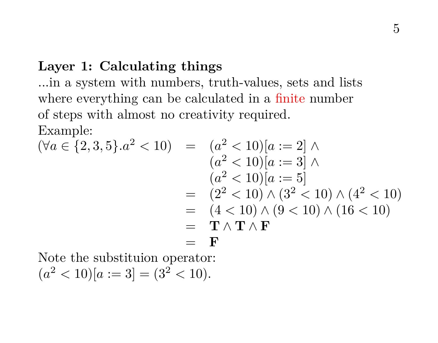## **Layer 1: Calculating things**

...in a system with numbers, truth-values, sets and lists where everything can be calculated in a finite number of steps with almost no creativity required. Example:

$$
(\forall a \in \{2, 3, 5\}.a^2 < 10) = (a^2 < 10)[a := 2] \land (a^2 < 10)[a := 3] \land (a^2 < 10)[a := 5] = (2^2 < 10) \land (3^2 < 10) \land (4^2 < 10) = (4 < 10) \land (9 < 10) \land (16 < 10) = \mathbf{T} \land \mathbf{T} \land \mathbf{F} = \mathbf{F}
$$

Note the substituion operator:

 $(a^{2} < 10)[a := 3] = (3^{2} < 10).$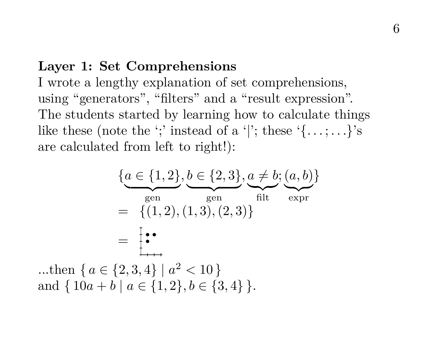#### **Layer 1: Set Comprehensions**

I wrote a lengthy explanation of set comprehensions, using "generators", "filters" and a "result expression". The students started by learning how to calculate things like these (note the ';' instead of a '|'; these  $\{ \ldots, \ldots \}$ 's are calculated from left to right!):

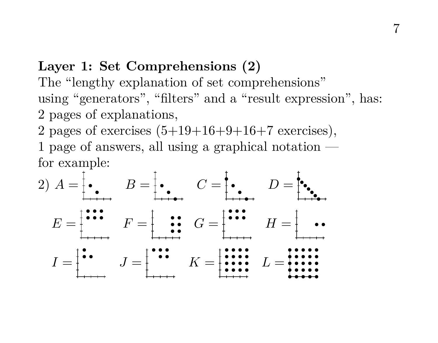# **Layer 1: Set Comprehensions (2)**

The "lengthy explanation of set comprehensions" using "generators", "filters" and a "result expression", has: 2 pages of explanations,

2 pages of exercises  $(5+19+16+9+16+7$  exercises), 1 page of answers, all using a graphical notation for example:

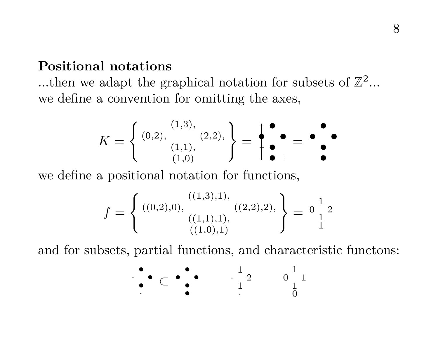### **Positional notations**

...then we adapt the graphical notation for subsets of  $\mathbb{Z}^2$ ... we define a convention for omitting the axes,

$$
K = \left\{ \begin{array}{c} (1,3), \\ (0,2), \\ (1,1), \\ (1,0) \end{array} \right\} = \begin{array}{c} \bullet \\ \bullet \\ \bullet \\ \bullet \end{array} = \begin{array}{c} \bullet \\ \bullet \\ \bullet \\ \bullet \end{array} = \begin{array}{c} \bullet \\ \bullet \\ \bullet \\ \bullet \end{array}
$$

we define a positional notation for functions,

$$
f = \left\{ \begin{array}{c} ((0,2),0), & ((1,3),1), \\ ((1,1),1), & ((2,2),2), \\ & ((1,0),1) \end{array} \right\} = \begin{array}{c} 1 \\ 1 \\ 1 \end{array}
$$

and for subsets, partial functions, and characteristic functons:

$$
\bullet\subset\bullet\bullet\bullet\qquad \begin{matrix}1\\1\end{matrix}\qquad \begin{matrix}0\\1\end{matrix}\qquad \begin{matrix}1\\1\end{matrix}
$$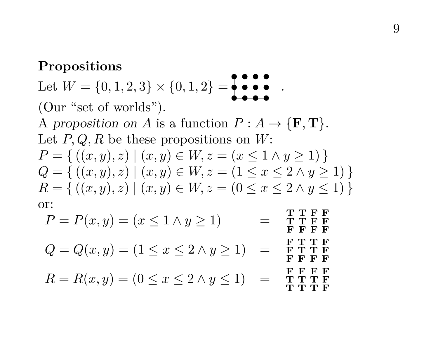#### **Propositions**

Let  $W = \{0, 1, 2, 3\} \times \{0, 1, 2\} = \begin{matrix} \bullet & \bullet & \bullet \\ \bullet & \bullet & \bullet \end{matrix}$ . (Our "set of worlds"). A proposition on A is a function  $P: A \to {\{F, T\}}$ . Let  $P, Q, R$  be these propositions on  $W$ :  $P = \{ ((x, y), z) \mid (x, y) \in W, z = (x \leq 1 \land y \geq 1) \}$  $Q = \{ ((x, y), z) \mid (x, y) \in W, z = (1 \le x \le 2 \land y \ge 1) \}$  $R = \{ ((x, y), z) \mid (x, y) \in W, z = (0 \le x \le 2 \land y \le 1) \}$ or:

$$
P = P(x, y) = (x \le 1 \land y \ge 1) = \begin{array}{c} \text{THEP} \ \text{THEP} \\ \text{F} \ \text{F} \ \text{F} \\ \text{F} \ \text{F} \ \text{F} \\ \text{F} \ \text{F} \ \text{F} \\ \text{F} \ \text{F} \ \text{F} \\ \text{F} \ \text{F} \ \text{F} \\ \text{F} \ \text{F} \ \text{F} \\ \text{F} \ \text{F} \ \text{F} \\ \text{F} \ \text{F} \ \text{F} \\ \text{F} \ \text{F} \ \text{F} \\ \text{F} \ \text{F} \ \text{F} \\ \text{F} \ \text{F} \ \text{F} \\ \text{F} \ \text{F} \ \text{F} \\ \text{F} \ \text{F} \ \text{F} \\ \text{F} \ \text{F} \ \text{F} \\ \text{F} \ \text{F} \ \text{F} \\ \text{F} \ \text{F} \ \text{F} \\ \text{F} \ \text{F} \ \text{F} \\ \text{F} \ \text{F} \ \text{F} \\ \text{F} \ \text{F} \ \text{F} \\ \text{F} \ \text{F} \ \text{F} \\ \text{F} \ \text{F} \ \text{F} \\ \text{F} \ \text{F} \ \text{F} \\ \text{F} \ \text{F} \ \text{F} \\ \text{F} \ \text{F} \ \text{F} \\ \text{F} \ \text{F} \ \text{F} \\ \text{F} \ \text{F} \ \text{F} \\ \text{F} \ \text{F} \ \text{F} \\ \text{F} \ \text{F} \ \text{F} \\ \text{F} \ \text{F} \ \text{F} \\ \text{F} \ \text{F} \ \text{F} \\ \text{F} \ \text{F} \ \text{F} \\ \text{F} \ \text{F} \ \text{F} \\ \text{F} \ \text{F} \ \text{F} \\ \text{F} \ \text{F} \ \text{F} \\ \text{F} \ \text{F} \ \text{F} \\ \text{F} \ \text{F} \ \text{F} \\ \text{F} \ \text{F} \ \text{F} \\ \text{F} \ \text{F} \ \text{F} \\ \text{F} \ \text{F} \ \text{F} \\ \text{F} \ \text{F} \ \
$$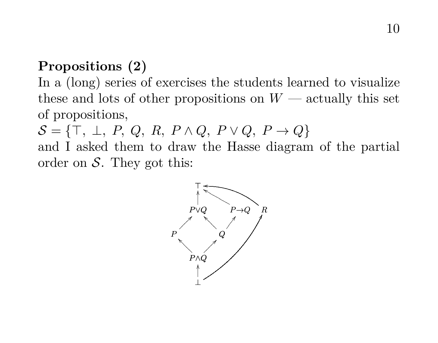# **Propositions (2)**

In a (long) series of exercises the students learned to visualize these and lots of other propositions on  $W$  — actually this set of propositions,

 $\mathcal{S} = \{\top, \perp, P, Q, R, P \wedge Q, P \vee Q, P \rightarrow Q\}$ and I asked them to draw the Hasse diagram of the partial order on  $S$ . They got this:

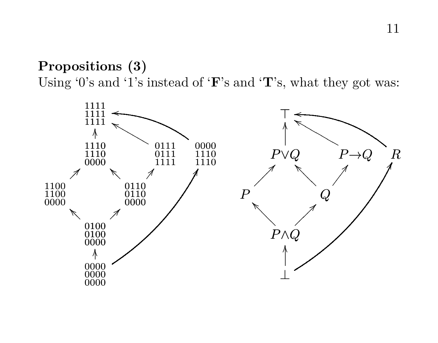## **Propositions (3)** Using '0's and '1's instead of 'F's and 'T's, what they got was:

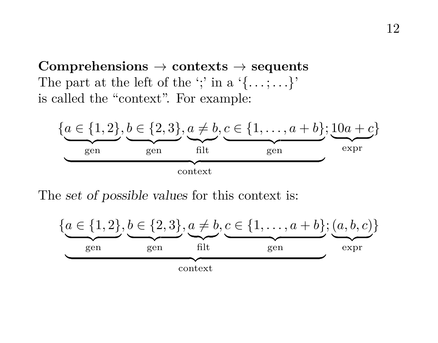**Comprehensions** → **contexts** → **sequents** The part at the left of the ';' in a ' $\{\ldots;\ldots\}'$ ' is called the "context". For example:



The set of possible values for this context is:

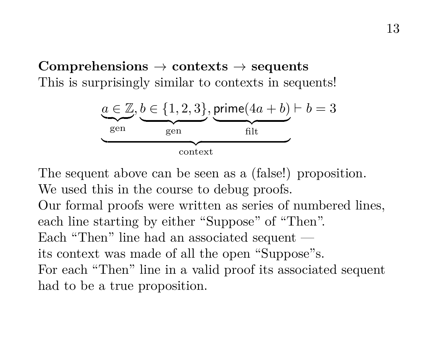## **Comprehensions** → **contexts** → **sequents** This is surprisingly similar to contexts in sequents!



The sequent above can be seen as a (false!) proposition. We used this in the course to debug proofs.

Our formal proofs were written as series of numbered lines, each line starting by either "Suppose" of "Then". Each "Then" line had an associated sequent its context was made of all the open "Suppose"s. For each "Then" line in a valid proof its associated sequent had to be a true proposition.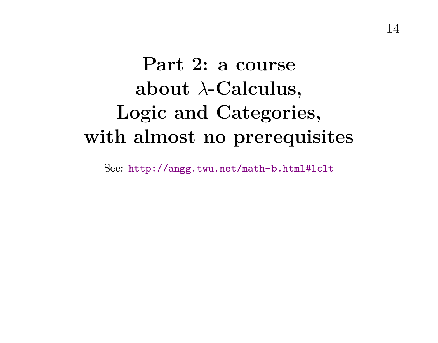# **Part 2: a course about** λ**-Calculus, Logic and Categories, with almost no prerequisites**

See: <http://angg.twu.net/math-b.html#lclt>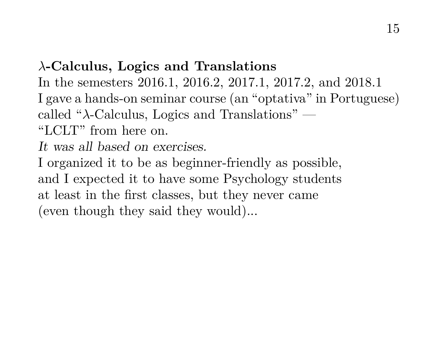## λ**-Calculus, Logics and Translations**

In the semesters 2016.1, 2016.2, 2017.1, 2017.2, and 2018.1 I gave a hands-on seminar course (an "optativa" in Portuguese) called " $\lambda$ -Calculus, Logics and Translations" — "LCLT" from here on.

It was all based on exercises.

I organized it to be as beginner-friendly as possible, and I expected it to have some Psychology students at least in the first classes, but they never came (even though they said they would)...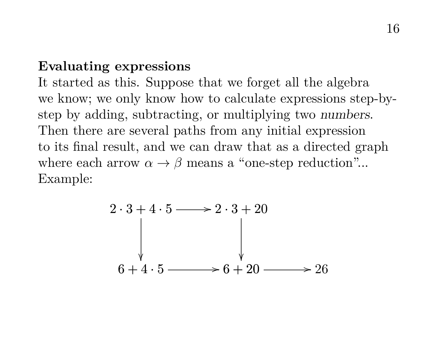#### **Evaluating expressions**

It started as this. Suppose that we forget all the algebra we know; we only know how to calculate expressions step-bystep by adding, subtracting, or multiplying two numbers. Then there are several paths from any initial expression to its final result, and we can draw that as a directed graph where each arrow  $\alpha \to \beta$  means a "one-step reduction"... Example:

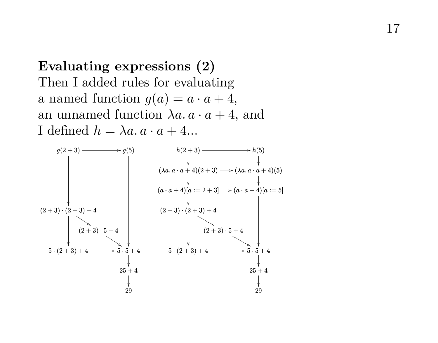**Evaluating expressions (2)** Then I added rules for evaluating a named function  $g(a) = a \cdot a + 4$ , an unnamed function  $\lambda a \cdot a + 4$ , and I defined  $h = \lambda a \cdot a \cdot a + 4...$ 

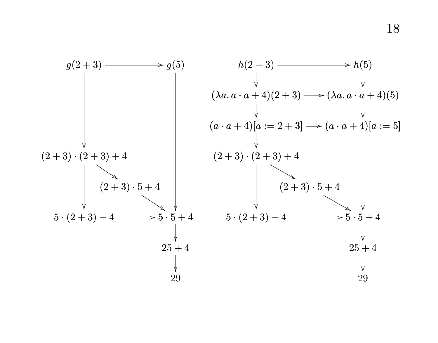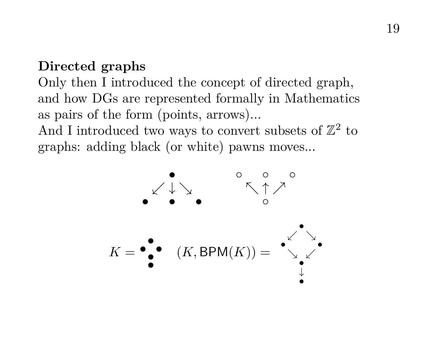### **Directed graphs**

Only then I introduced the concept of directed graph, and how DGs are represented formally in Mathematics as pairs of the form (points, arrows)...

And I introduced two ways to convert subsets of  $\mathbb{Z}^2$  to graphs: adding black (or white) pawns moves...

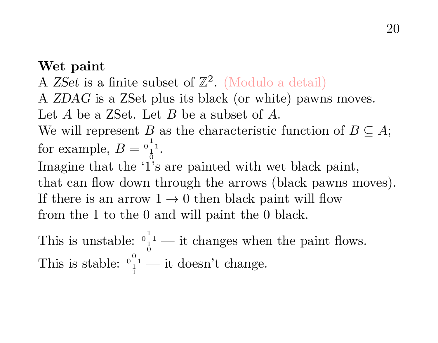#### **Wet paint**

A ZSet is a finite subset of  $\mathbb{Z}^2$ . (Modulo a detail)

A ZDAG is a ZSet plus its black (or white) pawns moves.

Let A be a ZSet. Let B be a subset of A.

We will represent B as the characteristic function of  $B \subseteq A$ ; for example,  $B = \frac{0}{1}^{1}$ .

Imagine that the '1's are painted with wet black paint, that can flow down through the arrows (black pawns moves). If there is an arrow  $1 \rightarrow 0$  then black paint will flow from the 1 to the 0 and will paint the 0 black.

This is unstable:  $\int_0^1$ <sup>1</sup> — it changes when the paint flows. This is stable:  $\frac{0}{1}^0$ <sup>1</sup> — it doesn't change.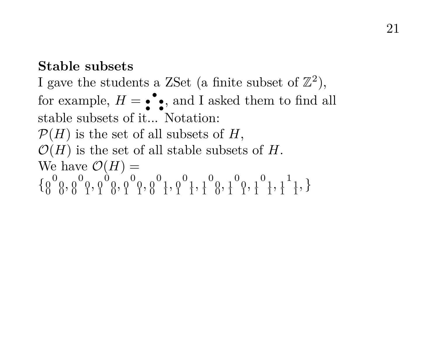#### **Stable subsets**

I gave the students a ZSet (a finite subset of  $\mathbb{Z}^2$ ), for example,  $H = \bullet \bullet$ , and I asked them to find all stable subsets of it. Notation:  $\mathcal{P}(H)$  is the set of all subsets of H,  $\mathcal{O}(H)$  is the set of all stable subsets of H. We have  $\mathcal{O}(H) =$ { 0 0 0 0 0, 0 0 0 0 1, 0 0 0 1 0, 0 0 0 1 1, 0 0 1 0 1, 0 0 1 1 1, 0 1 0 1 0, 0 1 0 1 1, 0 1 1 1 1, 1 1 1 1 1, }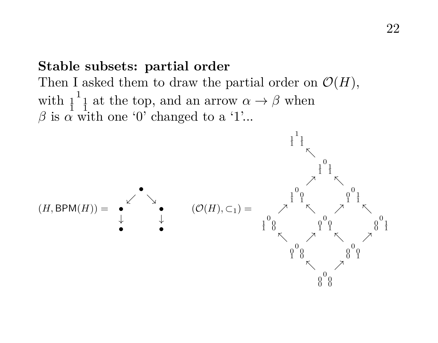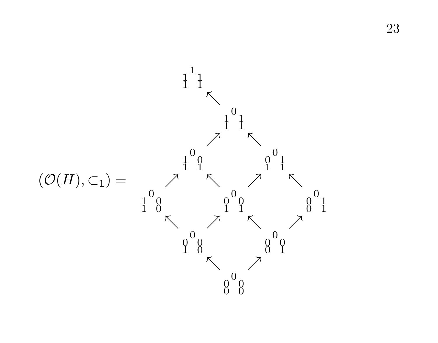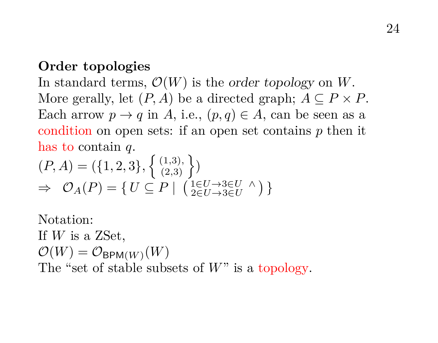#### **Order topologies**

In standard terms,  $\mathcal{O}(W)$  is the order topology on W. More gerally, let  $(P, A)$  be a directed graph;  $A \subseteq P \times P$ . Each arrow  $p \to q$  in A, i.e.,  $(p, q) \in A$ , can be seen as a condition on open sets: if an open set contains  $p$  then it has to contain q.

$$
(P, A) = (\{1, 2, 3\}, \{ (1, 3), \})
$$
  
\n
$$
\Rightarrow \mathcal{O}_A(P) = \{ U \subseteq P \mid ( (1 \in U \rightarrow 3 \in U \land ) \}
$$

Notation: If  $W$  is a ZSet,  $\mathcal{O}(W) = \mathcal{O}_{\mathsf{BPM}(W)}(W)$ The "set of stable subsets of  $W$ " is a topology.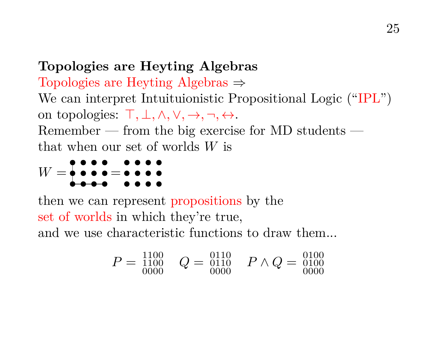## **Topologies are Heyting Algebras**

Topologies are Heyting Algebras ⇒ We can interpret Intuituionistic Propositional Logic ("IPL") on topologies:  $\top, \bot, \wedge, \vee, \rightarrow, \neg, \leftrightarrow$ . Remember — from the big exercise for MD students that when our set of worlds W is

W = =

then we can represent propositions by the set of worlds in which they're true, and we use characteristic functions to draw them...

$$
P = \begin{matrix} 1100 \\ 1100 \\ 0000 \end{matrix} \quad Q = \begin{matrix} 0110 \\ 0110 \\ 0000 \end{matrix} \quad P \wedge Q = \begin{matrix} 0100 \\ 0100 \\ 0000 \end{matrix}
$$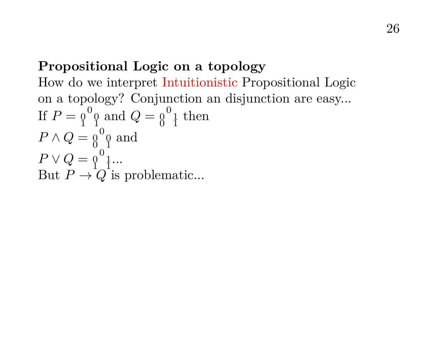## **Propositional Logic on a topology**

How do we interpret Intuitionistic Propositional Logic on a topology? Conjunction an disjunction are easy... If  $P = \begin{smallmatrix} 0 & 0 \\ 1 & 1 \end{smallmatrix}$  and  $Q = \begin{smallmatrix} 0 & 1 \\ 0 & 1 \end{smallmatrix}$  then  $P \wedge Q = \begin{smallmatrix} 0 & 0 \\ 0 & 1 \end{smallmatrix}$  and  $P \vee Q = \begin{matrix} 0 & 1 \\ 1 & 1 \end{matrix}$ ... But  $P \rightarrow Q$  is problematic...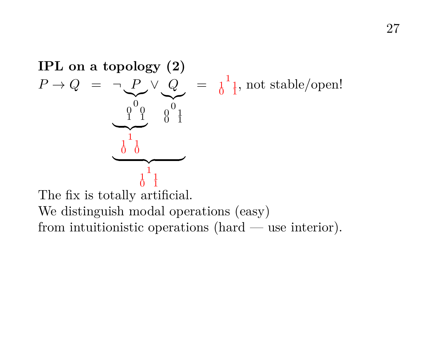

 $\frac{0}{0}$  I<br>The fix is totally artificial. We distinguish modal operations (easy) from intuitionistic operations (hard — use interior).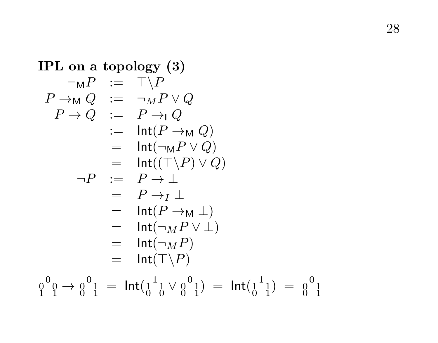**IPL on a topology (3)**  
\n
$$
\neg_{M}P := T\backslash P
$$
\n
$$
P \rightarrow_{M}Q := \neg_{M}P \vee Q
$$
\n
$$
P \rightarrow Q := P \rightarrow_{1}Q
$$
\n
$$
= \text{Int}(P \rightarrow_{M}Q)
$$
\n
$$
= \text{Int}(\neg_{M}P \vee Q)
$$
\n
$$
\neg P := P \rightarrow \bot
$$
\n
$$
= P \rightarrow \bot
$$
\n
$$
= P \rightarrow_{I} \bot
$$
\n
$$
= \text{Int}(P \rightarrow_{M} \bot)
$$
\n
$$
= \text{Int}(\neg_{M}P \vee \bot)
$$
\n
$$
= \text{Int}(\neg_{M}P)
$$
\n
$$
= \text{Int}(\neg_{M}P)
$$
\n
$$
= \text{Int}(\neg_{M}P)
$$
\n
$$
= \text{Int}(\top \backslash P)
$$

0 0 0 1 1 → 0 0 1 0 1 = Int( 1 1 1 0 0 ∨ 0 0 1 0 1) = Int( 1 1 1 0 1) = <sup>0</sup> 0 1 0 1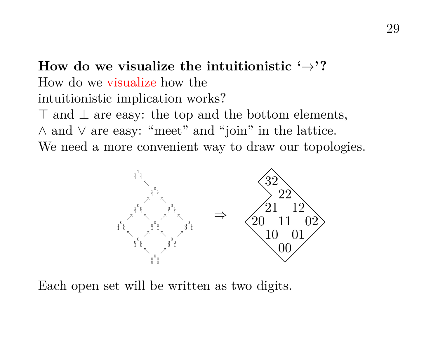# **How do we visualize the intuitionistic**  $\rightarrow$ **?** How do we visualize how the intuitionistic implication works?

 $\top$  and  $\bot$  are easy: the top and the bottom elements, ∧ and ∨ are easy: "meet" and "join" in the lattice. We need a more convenient way to draw our topologies.



Each open set will be written as two digits.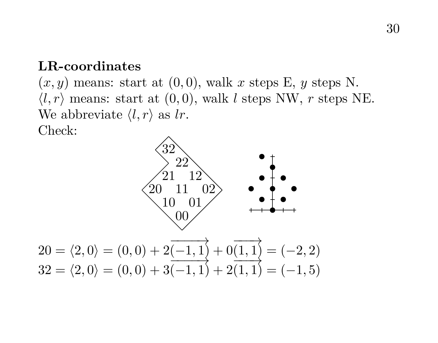#### **LR-coordinates**

 $(x, y)$  means: start at  $(0, 0)$ , walk x steps E, y steps N.  $\langle l, r \rangle$  means: start at  $(0, 0)$ , walk l steps NW, r steps NE. We abbreviate  $\langle l, r \rangle$  as lr. Check:

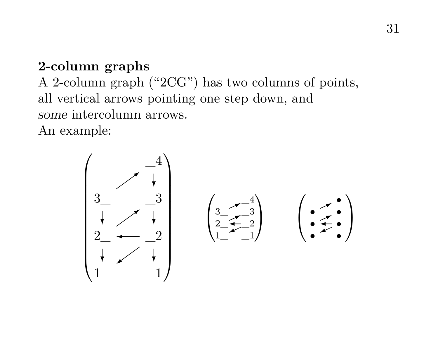## **2-column graphs**

A 2-column graph ("2CG") has two columns of points, all vertical arrows pointing one step down, and some intercolumn arrows. An example:

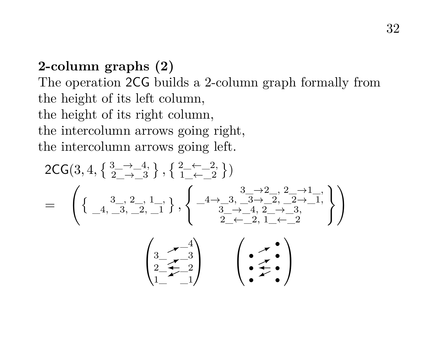# **2-column graphs (2)** The operation 2CG builds a 2-column graph formally from the height of its left column, the height of its right column, the intercolumn arrows going right, the intercolumn arrows going left.

$$
2\text{CG}(3,4,\left\{\frac{3}{2}\rightarrow\frac{4}{3}\right\},\left\{\frac{2-\leftarrow-2}{1-\leftarrow-2}\right\})
$$
\n
$$
=\left(\left\{\frac{3}{4},\frac{3}{2},\frac{2}{2},\frac{1}{1}\right\},\left\{\frac{-4\rightarrow3,\frac{3}{4}\rightarrow2,\frac{2}{2},\frac{2}{2}\rightarrow1}{\frac{3}{2}-\leftarrow-4,\frac{2}{2}\rightarrow-3,\frac{2}{2}\right\}}\right)
$$
\n
$$
\left(\frac{3}{2},\frac{4}{2},\frac{3}{2}\right)
$$
\n
$$
\left(\frac{3}{2},\frac{4}{2},\frac{3}{2}\right)
$$
\n
$$
\left(\frac{3}{2},\frac{4}{2},\frac{3}{2}\right)
$$
\n
$$
\left(\frac{3}{2},\frac{4}{2},\frac{3}{2}\right)
$$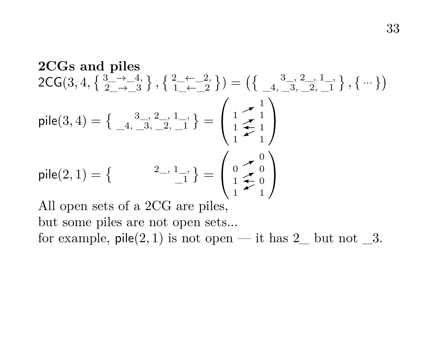**2CGs and piles**  
\n
$$
2CG(3, 4, \{ \frac{3}{2} \rightarrow -4, \} , \{ \frac{2}{1} \leftarrow -2, \} ) = (\{ \frac{3}{-4}, \frac{3}{-3}, \frac{2}{-2}, \frac{1}{-1} \}, \{ \cdots \} )
$$
\n
$$
pile(3, 4) = \{ \frac{3}{-4}, \frac{3}{-3}, \frac{2}{-2}, \frac{1}{-1} \} = \begin{pmatrix} 1 & 1 \\ 1 & \frac{1}{2} & 1 \\ 1 & 1 & 1 \end{pmatrix}
$$
\n
$$
pile(2, 1) = \{ \begin{pmatrix} 2 & 1 \\ 1 & -1 \\ 1 & 1 \end{pmatrix} = \begin{pmatrix} 0 & 0 \\ 1 & \frac{1}{2} & 0 \\ 1 & \frac{1}{2} & 0 \\ 1 & \frac{1}{2} & 1 \end{pmatrix}
$$

All open sets of a 2CG are piles, but some piles are not open sets... for example,  $\text{pile}(2, 1)$  is not open — it has  $2$  but not  $3$ .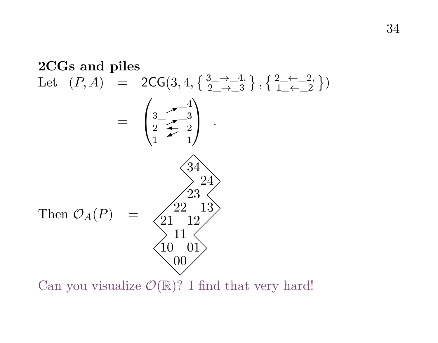

Can you visualize  $\mathcal{O}(\mathbb{R})$ ? I find that very hard!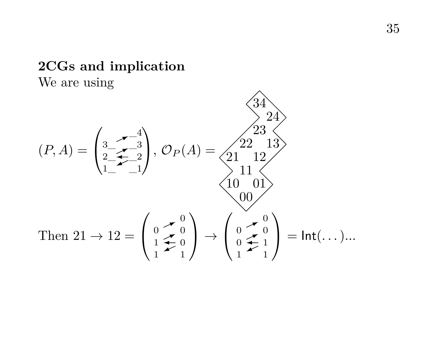# **2CGs and implication**

We are using

$$
(P, A) = \begin{pmatrix} 3 & -4 \\ 3 & -2 & 3 \\ 2 & -2 & 3 \\ 1 & -1 \end{pmatrix}, \ O_P(A) = \begin{pmatrix} 22 & 13 \\ 21 & 12 \end{pmatrix}
$$
  
Then  $21 \rightarrow 12 = \begin{pmatrix} 0 & -0 \\ 1 & -2 & 0 \\ 1 & 0 & 0 \end{pmatrix} \rightarrow \begin{pmatrix} 0 & -0 \\ 0 & -1 & 1 \\ 0 & 1 & 1 \end{pmatrix} = \text{Int}(\dots)$ ...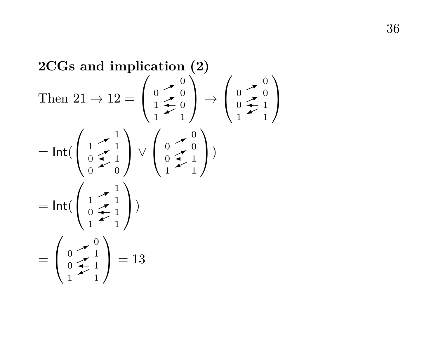2CGs and implication (2)  
\nThen 
$$
21 \rightarrow 12 = \begin{pmatrix} 0 & \searrow 0 \\ 1 & \searrow 0 \\ 1 & \searrow 0 \end{pmatrix} \rightarrow \begin{pmatrix} 0 & \searrow 0 \\ 0 & \searrow 1 \\ 1 & \searrow 1 \end{pmatrix}
$$
  
\n
$$
= \text{Int}(\begin{pmatrix} 1 & \searrow 1 \\ 0 & \searrow 1 \\ 0 & \searrow 0 \end{pmatrix} \vee \begin{pmatrix} 0 & \searrow 0 \\ 0 & \searrow 1 \\ 1 & \searrow 1 \end{pmatrix})
$$
  
\n
$$
= \text{Int}(\begin{pmatrix} 1 & \searrow 1 \\ 0 & \searrow 1 \\ 1 & \searrow 1 \end{pmatrix})
$$
  
\n
$$
= \begin{pmatrix} 0 & \searrow 0 \\ 0 & \searrow 1 \\ 1 & \searrow 1 \end{pmatrix} = 13
$$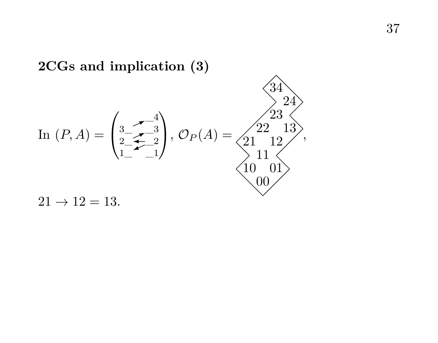

**2CGs and implication (3)**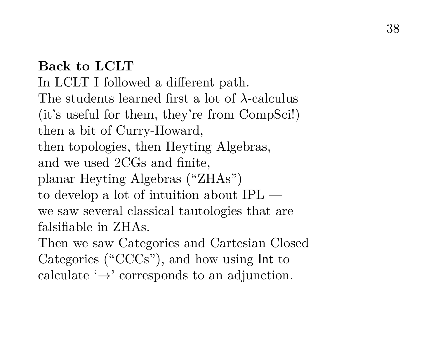## **Back to LCLT**

In LCLT I followed a different path. The students learned first a lot of λ-calculus (it's useful for them, they're from CompSci!) then a bit of Curry-Howard, then topologies, then Heyting Algebras, and we used 2CGs and finite, planar Heyting Algebras ("ZHAs") to develop a lot of intuition about IPL we saw several classical tautologies that are falsifiable in ZHAs.

Then we saw Categories and Cartesian Closed Categories ("CCCs"), and how using Int to calculate  $\rightarrow$  corresponds to an adjunction.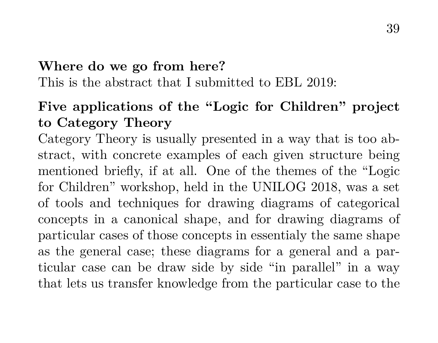### **Where do we go from here?**

This is the abstract that I submitted to EBL 2019:

# **Five applications of the "Logic for Children" project to Category Theory**

Category Theory is usually presented in a way that is too abstract, with concrete examples of each given structure being mentioned briefly, if at all. One of the themes of the "Logic for Children" workshop, held in the UNILOG 2018, was a set of tools and techniques for drawing diagrams of categorical concepts in a canonical shape, and for drawing diagrams of particular cases of those concepts in essentialy the same shape as the general case; these diagrams for a general and a particular case can be draw side by side "in parallel" in a way that lets us transfer knowledge from the particular case to the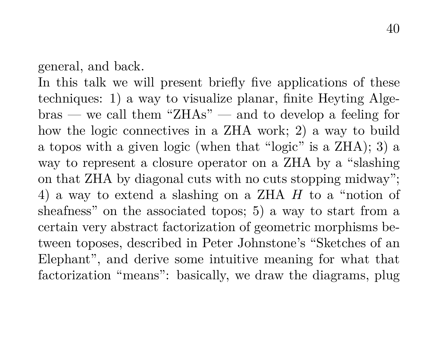general, and back.

In this talk we will present briefly five applications of these techniques: 1) a way to visualize planar, finite Heyting Algebras — we call them "ZHAs" — and to develop a feeling for how the logic connectives in a ZHA work; 2) a way to build a topos with a given logic (when that "logic" is a ZHA); 3) a way to represent a closure operator on a ZHA by a "slashing on that ZHA by diagonal cuts with no cuts stopping midway"; 4) a way to extend a slashing on a ZHA H to a "notion of sheafness" on the associated topos; 5) a way to start from a certain very abstract factorization of geometric morphisms between toposes, described in Peter Johnstone's "Sketches of an Elephant", and derive some intuitive meaning for what that factorization "means": basically, we draw the diagrams, plug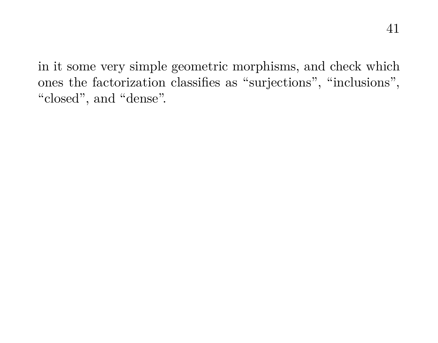41

in it some very simple geometric morphisms, and check which ones the factorization classifies as "surjections", "inclusions", "closed", and "dense".